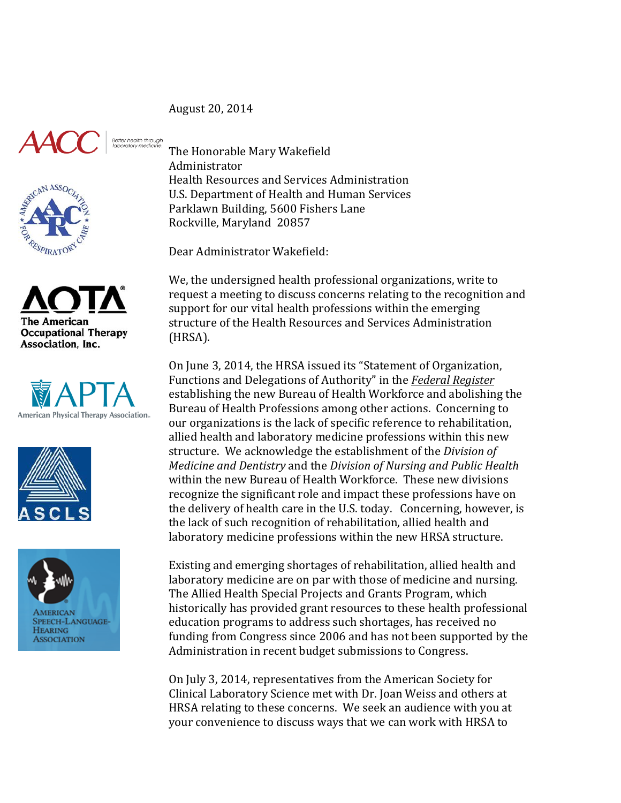August 20, 2014













The Honorable Mary Wakefield Administrator Health Resources and Services Administration U.S. Department of Health and Human Services Parklawn Building, 5600 Fishers Lane Rockville, Maryland 20857

Dear Administrator Wakefield:

We, the undersigned health professional organizations, write to request a meeting to discuss concerns relating to the recognition and support for our vital health professions within the emerging structure of the Health Resources and Services Administration (HRSA). 

On June 3, 2014, the HRSA issued its "Statement of Organization, Functions and Delegations of Authority" in the **Federal Register** establishing the new Bureau of Health Workforce and abolishing the Bureau of Health Professions among other actions. Concerning to our organizations is the lack of specific reference to rehabilitation, allied health and laboratory medicine professions within this new structure. We acknowledge the establishment of the *Division of Medicine and Dentistry* and the *Division of Nursing and Public Health* within the new Bureau of Health Workforce. These new divisions recognize the significant role and impact these professions have on the delivery of health care in the U.S. today. Concerning, however, is the lack of such recognition of rehabilitation, allied health and laboratory medicine professions within the new HRSA structure.

Existing and emerging shortages of rehabilitation, allied health and laboratory medicine are on par with those of medicine and nursing. The Allied Health Special Projects and Grants Program, which historically has provided grant resources to these health professional education programs to address such shortages, has received no funding from Congress since 2006 and has not been supported by the Administration in recent budget submissions to Congress.

On July 3, 2014, representatives from the American Society for Clinical Laboratory Science met with Dr. Joan Weiss and others at HRSA relating to these concerns. We seek an audience with you at your convenience to discuss ways that we can work with HRSA to